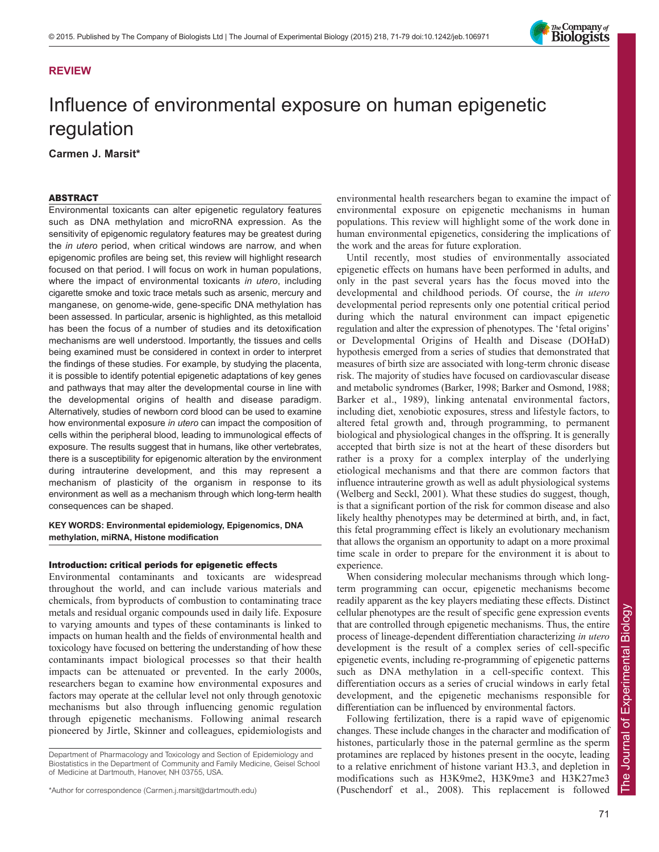# **REVIEW**

# Influence of environmental exposure on human epigenetic regulation

**Carmen J. Marsit\***

## ABSTRACT

Environmental toxicants can alter epigenetic regulatory features such as DNA methylation and microRNA expression. As the sensitivity of epigenomic regulatory features may be greatest during the *in utero* period, when critical windows are narrow, and when epigenomic profiles are being set, this review will highlight research focused on that period. I will focus on work in human populations, where the impact of environmental toxicants *in utero*, including cigarette smoke and toxic trace metals such as arsenic, mercury and manganese, on genome-wide, gene-specific DNA methylation has been assessed. In particular, arsenic is highlighted, as this metalloid has been the focus of a number of studies and its detoxification mechanisms are well understood. Importantly, the tissues and cells being examined must be considered in context in order to interpret the findings of these studies. For example, by studying the placenta, it is possible to identify potential epigenetic adaptations of key genes and pathways that may alter the developmental course in line with the developmental origins of health and disease paradigm. Alternatively, studies of newborn cord blood can be used to examine how environmental exposure *in utero* can impact the composition of cells within the peripheral blood, leading to immunological effects of exposure. The results suggest that in humans, like other vertebrates, there is a susceptibility for epigenomic alteration by the environment during intrauterine development, and this may represent a mechanism of plasticity of the organism in response to its environment as well as a mechanism through which long-term health consequences can be shaped.

## **KEY WORDS: Environmental epidemiology, Epigenomics, DNA methylation, miRNA, Histone modification**

#### Introduction: critical periods for epigenetic effects

Environmental contaminants and toxicants are widespread throughout the world, and can include various materials and chemicals, from byproducts of combustion to contaminating trace metals and residual organic compounds used in daily life. Exposure to varying amounts and types of these contaminants is linked to impacts on human health and the fields of environmental health and toxicology have focused on bettering the understanding of how these contaminants impact biological processes so that their health impacts can be attenuated or prevented. In the early 2000s, researchers began to examine how environmental exposures and factors may operate at the cellular level not only through genotoxic mechanisms but also through influencing genomic regulation through epigenetic mechanisms. Following animal research pioneered by Jirtle, Skinner and colleagues, epidemiologists and environmental health researchers began to examine the impact of environmental exposure on epigenetic mechanisms in human populations. This review will highlight some of the work done in human environmental epigenetics, considering the implications of the work and the areas for future exploration.

Until recently, most studies of environmentally associated epigenetic effects on humans have been performed in adults, and only in the past several years has the focus moved into the developmental and childhood periods. Of course, the *in utero* developmental period represents only one potential critical period during which the natural environment can impact epigenetic regulation and alter the expression of phenotypes. The 'fetal origins' or Developmental Origins of Health and Disease (DOHaD) hypothesis emerged from a series of studies that demonstrated that measures of birth size are associated with long-term chronic disease risk. The majority of studies have focused on cardiovascular disease and metabolic syndromes (Barker, 1998; Barker and Osmond, 1988; Barker et al., 1989), linking antenatal environmental factors, including diet, xenobiotic exposures, stress and lifestyle factors, to altered fetal growth and, through programming, to permanent biological and physiological changes in the offspring. It is generally accepted that birth size is not at the heart of these disorders but rather is a proxy for a complex interplay of the underlying etiological mechanisms and that there are common factors that influence intrauterine growth as well as adult physiological systems (Welberg and Seckl, 2001). What these studies do suggest, though, is that a significant portion of the risk for common disease and also likely healthy phenotypes may be determined at birth, and, in fact, this fetal programming effect is likely an evolutionary mechanism that allows the organism an opportunity to adapt on a more proximal time scale in order to prepare for the environment it is about to experience.

When considering molecular mechanisms through which longterm programming can occur, epigenetic mechanisms become readily apparent as the key players mediating these effects. Distinct cellular phenotypes are the result of specific gene expression events that are controlled through epigenetic mechanisms. Thus, the entire process of lineage-dependent differentiation characterizing *in utero* development is the result of a complex series of cell-specific epigenetic events, including re-programming of epigenetic patterns such as DNA methylation in a cell-specific context. This differentiation occurs as a series of crucial windows in early fetal development, and the epigenetic mechanisms responsible for differentiation can be influenced by environmental factors.

Following fertilization, there is a rapid wave of epigenomic changes. These include changes in the character and modification of histones, particularly those in the paternal germline as the sperm protamines are replaced by histones present in the oocyte, leading to a relative enrichment of histone variant H3.3, and depletion in modifications such as H3K9me2, H3K9me3 and H3K27me3 (Puschendorf et al., 2008). This replacement is followed



Department of Pharmacology and Toxicology and Section of Epidemiology and Biostatistics in the Department of Community and Family Medicine, Geisel School of Medicine at Dartmouth, Hanover, NH 03755, USA.

<sup>\*</sup>Author for correspondence (Carmen.j.marsit@dartmouth.edu)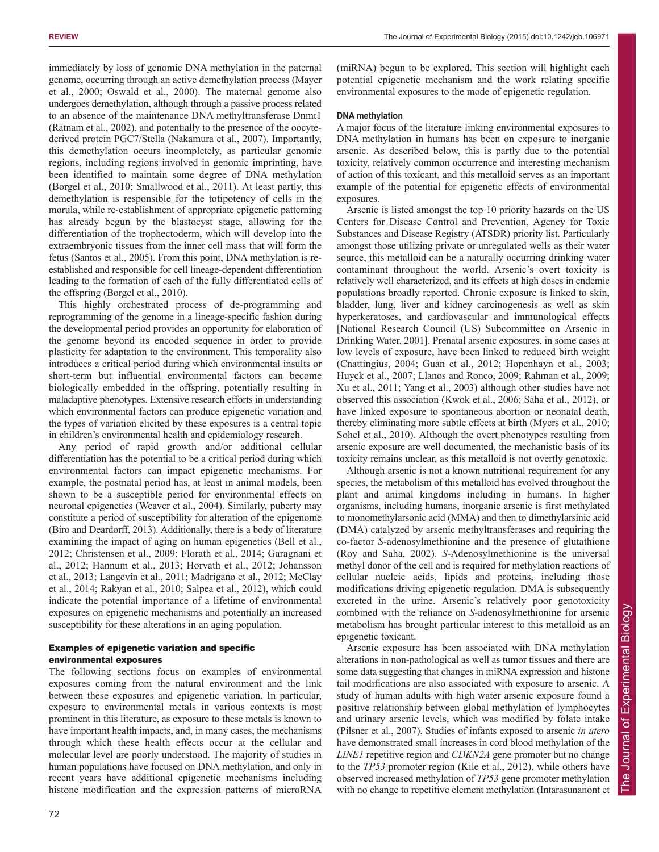immediately by loss of genomic DNA methylation in the paternal genome, occurring through an active demethylation process (Mayer et al., 2000; Oswald et al., 2000). The maternal genome also undergoes demethylation, although through a passive process related to an absence of the maintenance DNA methyltransferase Dnmt1 (Ratnam et al., 2002), and potentially to the presence of the oocytederived protein PGC7/Stella (Nakamura et al., 2007). Importantly, this demethylation occurs incompletely, as particular genomic regions, including regions involved in genomic imprinting, have been identified to maintain some degree of DNA methylation (Borgel et al., 2010; Smallwood et al., 2011). At least partly, this demethylation is responsible for the totipotency of cells in the morula, while re-establishment of appropriate epigenetic patterning has already begun by the blastocyst stage, allowing for the differentiation of the trophectoderm, which will develop into the extraembryonic tissues from the inner cell mass that will form the fetus (Santos et al., 2005). From this point, DNA methylation is reestablished and responsible for cell lineage-dependent differentiation leading to the formation of each of the fully differentiated cells of the offspring (Borgel et al., 2010).

This highly orchestrated process of de-programming and reprogramming of the genome in a lineage-specific fashion during the developmental period provides an opportunity for elaboration of the genome beyond its encoded sequence in order to provide plasticity for adaptation to the environment. This temporality also introduces a critical period during which environmental insults or short-term but influential environmental factors can become biologically embedded in the offspring, potentially resulting in maladaptive phenotypes. Extensive research efforts in understanding which environmental factors can produce epigenetic variation and the types of variation elicited by these exposures is a central topic in children's environmental health and epidemiology research.

Any period of rapid growth and/or additional cellular differentiation has the potential to be a critical period during which environmental factors can impact epigenetic mechanisms. For example, the postnatal period has, at least in animal models, been shown to be a susceptible period for environmental effects on neuronal epigenetics (Weaver et al., 2004). Similarly, puberty may constitute a period of susceptibility for alteration of the epigenome (Biro and Deardorff, 2013). Additionally, there is a body of literature examining the impact of aging on human epigenetics (Bell et al., 2012; Christensen et al., 2009; Florath et al., 2014; Garagnani et al., 2012; Hannum et al., 2013; Horvath et al., 2012; Johansson et al., 2013; Langevin et al., 2011; Madrigano et al., 2012; McClay et al., 2014; Rakyan et al., 2010; Salpea et al., 2012), which could indicate the potential importance of a lifetime of environmental exposures on epigenetic mechanisms and potentially an increased susceptibility for these alterations in an aging population.

## Examples of epigenetic variation and specific environmental exposures

The following sections focus on examples of environmental exposures coming from the natural environment and the link between these exposures and epigenetic variation. In particular, exposure to environmental metals in various contexts is most prominent in this literature, as exposure to these metals is known to have important health impacts, and, in many cases, the mechanisms through which these health effects occur at the cellular and molecular level are poorly understood. The majority of studies in human populations have focused on DNA methylation, and only in recent years have additional epigenetic mechanisms including histone modification and the expression patterns of microRNA

(miRNA) begun to be explored. This section will highlight each potential epigenetic mechanism and the work relating specific environmental exposures to the mode of epigenetic regulation.

#### **DNA methylation**

A major focus of the literature linking environmental exposures to DNA methylation in humans has been on exposure to inorganic arsenic. As described below, this is partly due to the potential toxicity, relatively common occurrence and interesting mechanism of action of this toxicant, and this metalloid serves as an important example of the potential for epigenetic effects of environmental exposures.

Arsenic is listed amongst the top 10 priority hazards on the US Centers for Disease Control and Prevention, Agency for Toxic Substances and Disease Registry (ATSDR) priority list. Particularly amongst those utilizing private or unregulated wells as their water source, this metalloid can be a naturally occurring drinking water contaminant throughout the world. Arsenic's overt toxicity is relatively well characterized, and its effects at high doses in endemic populations broadly reported. Chronic exposure is linked to skin, bladder, lung, liver and kidney carcinogenesis as well as skin hyperkeratoses, and cardiovascular and immunological effects [National Research Council (US) Subcommittee on Arsenic in Drinking Water, 2001]. Prenatal arsenic exposures, in some cases at low levels of exposure, have been linked to reduced birth weight (Cnattingius, 2004; Guan et al., 2012; Hopenhayn et al., 2003; Huyck et al., 2007; Llanos and Ronco, 2009; Rahman et al., 2009; Xu et al., 2011; Yang et al., 2003) although other studies have not observed this association (Kwok et al., 2006; Saha et al., 2012), or have linked exposure to spontaneous abortion or neonatal death, thereby eliminating more subtle effects at birth (Myers et al., 2010; Sohel et al., 2010). Although the overt phenotypes resulting from arsenic exposure are well documented, the mechanistic basis of its toxicity remains unclear, as this metalloid is not overtly genotoxic.

Although arsenic is not a known nutritional requirement for any species, the metabolism of this metalloid has evolved throughout the plant and animal kingdoms including in humans. In higher organisms, including humans, inorganic arsenic is first methylated to monomethylarsonic acid (MMA) and then to dimethylarsinic acid (DMA) catalyzed by arsenic methyltransferases and requiring the co-factor *S*-adenosylmethionine and the presence of glutathione (Roy and Saha, 2002). *S*-Adenosylmethionine is the universal methyl donor of the cell and is required for methylation reactions of cellular nucleic acids, lipids and proteins, including those modifications driving epigenetic regulation. DMA is subsequently excreted in the urine. Arsenic's relatively poor genotoxicity combined with the reliance on *S*-adenosylmethionine for arsenic metabolism has brought particular interest to this metalloid as an epigenetic toxicant.

Arsenic exposure has been associated with DNA methylation alterations in non-pathological as well as tumor tissues and there are some data suggesting that changes in miRNA expression and histone tail modifications are also associated with exposure to arsenic. A study of human adults with high water arsenic exposure found a positive relationship between global methylation of lymphocytes and urinary arsenic levels, which was modified by folate intake (Pilsner et al., 2007). Studies of infants exposed to arsenic *in utero* have demonstrated small increases in cord blood methylation of the *LINE1* repetitive region and *CDKN2A* gene promoter but no change to the *TP53* promoter region (Kile et al., 2012), while others have observed increased methylation of *TP53* gene promoter methylation with no change to repetitive element methylation (Intarasunanont et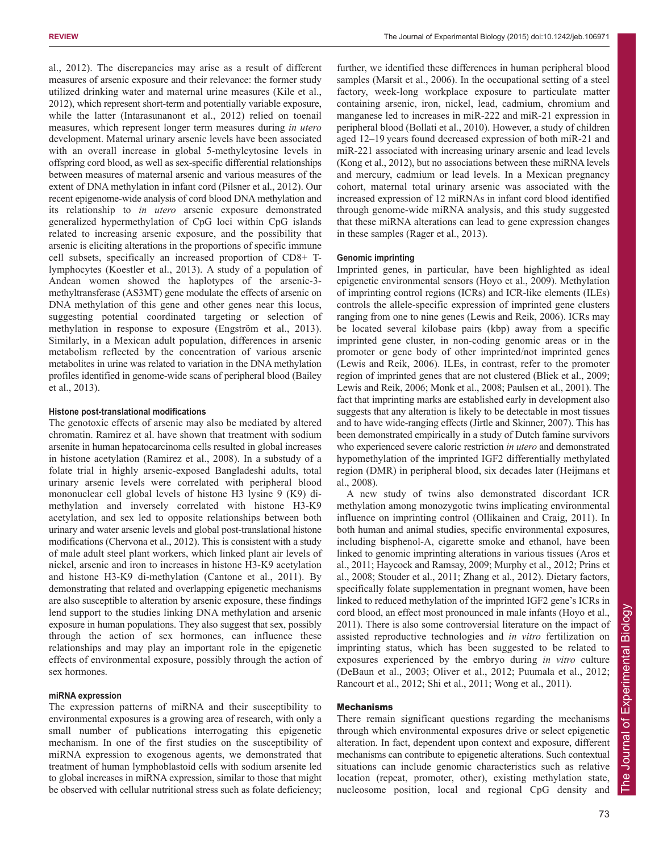al., 2012). The discrepancies may arise as a result of different measures of arsenic exposure and their relevance: the former study utilized drinking water and maternal urine measures (Kile et al., 2012), which represent short-term and potentially variable exposure, while the latter (Intarasunanont et al., 2012) relied on toenail measures, which represent longer term measures during *in utero* development. Maternal urinary arsenic levels have been associated with an overall increase in global 5-methylcytosine levels in offspring cord blood, as well as sex-specific differential relationships between measures of maternal arsenic and various measures of the extent of DNA methylation in infant cord (Pilsner et al., 2012). Our recent epigenome-wide analysis of cord blood DNA methylation and its relationship to *in utero* arsenic exposure demonstrated generalized hypermethylation of CpG loci within CpG islands related to increasing arsenic exposure, and the possibility that arsenic is eliciting alterations in the proportions of specific immune cell subsets, specifically an increased proportion of CD8+ Tlymphocytes (Koestler et al., 2013). A study of a population of Andean women showed the haplotypes of the arsenic-3 methyltransferase (AS3MT) gene modulate the effects of arsenic on DNA methylation of this gene and other genes near this locus, suggesting potential coordinated targeting or selection of methylation in response to exposure (Engström et al., 2013). Similarly, in a Mexican adult population, differences in arsenic metabolism reflected by the concentration of various arsenic metabolites in urine was related to variation in the DNA methylation profiles identified in genome-wide scans of peripheral blood (Bailey et al., 2013).

## **Histone post-translational modifications**

The genotoxic effects of arsenic may also be mediated by altered chromatin. Ramirez et al. have shown that treatment with sodium arsenite in human hepatocarcinoma cells resulted in global increases in histone acetylation (Ramirez et al., 2008). In a substudy of a folate trial in highly arsenic-exposed Bangladeshi adults, total urinary arsenic levels were correlated with peripheral blood mononuclear cell global levels of histone H3 lysine 9 (K9) dimethylation and inversely correlated with histone H3-K9 acetylation, and sex led to opposite relationships between both urinary and water arsenic levels and global post-translational histone modifications (Chervona et al., 2012). This is consistent with a study of male adult steel plant workers, which linked plant air levels of nickel, arsenic and iron to increases in histone H3-K9 acetylation and histone H3-K9 di-methylation (Cantone et al., 2011). By demonstrating that related and overlapping epigenetic mechanisms are also susceptible to alteration by arsenic exposure, these findings lend support to the studies linking DNA methylation and arsenic exposure in human populations. They also suggest that sex, possibly through the action of sex hormones, can influence these relationships and may play an important role in the epigenetic effects of environmental exposure, possibly through the action of sex hormones.

# **miRNA expression**

The expression patterns of miRNA and their susceptibility to environmental exposures is a growing area of research, with only a small number of publications interrogating this epigenetic mechanism. In one of the first studies on the susceptibility of miRNA expression to exogenous agents, we demonstrated that treatment of human lymphoblastoid cells with sodium arsenite led to global increases in miRNA expression, similar to those that might be observed with cellular nutritional stress such as folate deficiency; further, we identified these differences in human peripheral blood samples (Marsit et al., 2006). In the occupational setting of a steel factory, week-long workplace exposure to particulate matter containing arsenic, iron, nickel, lead, cadmium, chromium and manganese led to increases in miR-222 and miR-21 expression in peripheral blood (Bollati et al., 2010). However, a study of children aged 12–19 years found decreased expression of both miR-21 and miR-221 associated with increasing urinary arsenic and lead levels (Kong et al., 2012), but no associations between these miRNA levels and mercury, cadmium or lead levels. In a Mexican pregnancy cohort, maternal total urinary arsenic was associated with the increased expression of 12 miRNAs in infant cord blood identified through genome-wide miRNA analysis, and this study suggested that these miRNA alterations can lead to gene expression changes in these samples (Rager et al., 2013).

## **Genomic imprinting**

Imprinted genes, in particular, have been highlighted as ideal epigenetic environmental sensors (Hoyo et al., 2009). Methylation of imprinting control regions (ICRs) and ICR-like elements (ILEs) controls the allele-specific expression of imprinted gene clusters ranging from one to nine genes (Lewis and Reik, 2006). ICRs may be located several kilobase pairs (kbp) away from a specific imprinted gene cluster, in non-coding genomic areas or in the promoter or gene body of other imprinted/not imprinted genes (Lewis and Reik, 2006). ILEs, in contrast, refer to the promoter region of imprinted genes that are not clustered (Bliek et al., 2009; Lewis and Reik, 2006; Monk et al., 2008; Paulsen et al., 2001). The fact that imprinting marks are established early in development also suggests that any alteration is likely to be detectable in most tissues and to have wide-ranging effects (Jirtle and Skinner, 2007). This has been demonstrated empirically in a study of Dutch famine survivors who experienced severe caloric restriction *in utero* and demonstrated hypomethylation of the imprinted IGF2 differentially methylated region (DMR) in peripheral blood, six decades later (Heijmans et al., 2008).

A new study of twins also demonstrated discordant ICR methylation among monozygotic twins implicating environmental influence on imprinting control (Ollikainen and Craig, 2011). In both human and animal studies, specific environmental exposures, including bisphenol-A, cigarette smoke and ethanol, have been linked to genomic imprinting alterations in various tissues (Aros et al., 2011; Haycock and Ramsay, 2009; Murphy et al., 2012; Prins et al., 2008; Stouder et al., 2011; Zhang et al., 2012). Dietary factors, specifically folate supplementation in pregnant women, have been linked to reduced methylation of the imprinted IGF2 gene's ICRs in cord blood, an effect most pronounced in male infants (Hoyo et al., 2011). There is also some controversial literature on the impact of assisted reproductive technologies and *in vitro* fertilization on imprinting status, which has been suggested to be related to exposures experienced by the embryo during *in vitro* culture (DeBaun et al., 2003; Oliver et al., 2012; Puumala et al., 2012; Rancourt et al., 2012; Shi et al., 2011; Wong et al., 2011).

# Mechanisms

There remain significant questions regarding the mechanisms through which environmental exposures drive or select epigenetic alteration. In fact, dependent upon context and exposure, different mechanisms can contribute to epigenetic alterations. Such contextual situations can include genomic characteristics such as relative location (repeat, promoter, other), existing methylation state, nucleosome position, local and regional CpG density and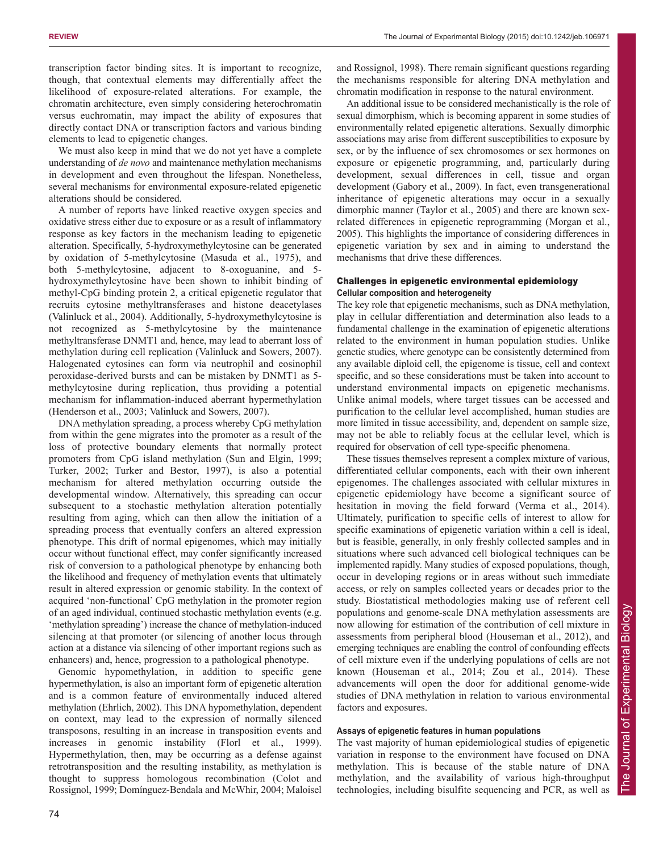transcription factor binding sites. It is important to recognize, though, that contextual elements may differentially affect the likelihood of exposure-related alterations. For example, the chromatin architecture, even simply considering heterochromatin versus euchromatin, may impact the ability of exposures that directly contact DNA or transcription factors and various binding elements to lead to epigenetic changes.

We must also keep in mind that we do not yet have a complete understanding of *de novo* and maintenance methylation mechanisms in development and even throughout the lifespan. Nonetheless, several mechanisms for environmental exposure-related epigenetic alterations should be considered.

A number of reports have linked reactive oxygen species and oxidative stress either due to exposure or as a result of inflammatory response as key factors in the mechanism leading to epigenetic alteration. Specifically, 5-hydroxymethylcytosine can be generated by oxidation of 5-methylcytosine (Masuda et al., 1975), and both 5-methylcytosine, adjacent to 8-oxoguanine, and 5 hydroxymethylcytosine have been shown to inhibit binding of methyl-CpG binding protein 2, a critical epigenetic regulator that recruits cytosine methyltransferases and histone deacetylases (Valinluck et al., 2004). Additionally, 5-hydroxymethylcytosine is not recognized as 5-methylcytosine by the maintenance methyltransferase DNMT1 and, hence, may lead to aberrant loss of methylation during cell replication (Valinluck and Sowers, 2007). Halogenated cytosines can form via neutrophil and eosinophil peroxidase-derived bursts and can be mistaken by DNMT1 as 5 methylcytosine during replication, thus providing a potential mechanism for inflammation-induced aberrant hypermethylation (Henderson et al., 2003; Valinluck and Sowers, 2007).

DNA methylation spreading, a process whereby CpG methylation from within the gene migrates into the promoter as a result of the loss of protective boundary elements that normally protect promoters from CpG island methylation (Sun and Elgin, 1999; Turker, 2002; Turker and Bestor, 1997), is also a potential mechanism for altered methylation occurring outside the developmental window. Alternatively, this spreading can occur subsequent to a stochastic methylation alteration potentially resulting from aging, which can then allow the initiation of a spreading process that eventually confers an altered expression phenotype. This drift of normal epigenomes, which may initially occur without functional effect, may confer significantly increased risk of conversion to a pathological phenotype by enhancing both the likelihood and frequency of methylation events that ultimately result in altered expression or genomic stability. In the context of acquired 'non-functional' CpG methylation in the promoter region of an aged individual, continued stochastic methylation events (e.g. 'methylation spreading') increase the chance of methylation-induced silencing at that promoter (or silencing of another locus through action at a distance via silencing of other important regions such as enhancers) and, hence, progression to a pathological phenotype.

Genomic hypomethylation, in addition to specific gene hypermethylation, is also an important form of epigenetic alteration and is a common feature of environmentally induced altered methylation (Ehrlich, 2002). This DNA hypomethylation, dependent on context, may lead to the expression of normally silenced transposons, resulting in an increase in transposition events and increases in genomic instability (Florl et al., 1999). Hypermethylation, then, may be occurring as a defense against retrotransposition and the resulting instability, as methylation is thought to suppress homologous recombination (Colot and Rossignol, 1999; Domínguez-Bendala and McWhir, 2004; Maloisel and Rossignol, 1998). There remain significant questions regarding the mechanisms responsible for altering DNA methylation and chromatin modification in response to the natural environment.

An additional issue to be considered mechanistically is the role of sexual dimorphism, which is becoming apparent in some studies of environmentally related epigenetic alterations. Sexually dimorphic associations may arise from different susceptibilities to exposure by sex, or by the influence of sex chromosomes or sex hormones on exposure or epigenetic programming, and, particularly during development, sexual differences in cell, tissue and organ development (Gabory et al., 2009). In fact, even transgenerational inheritance of epigenetic alterations may occur in a sexually dimorphic manner (Taylor et al., 2005) and there are known sexrelated differences in epigenetic reprogramming (Morgan et al., 2005). This highlights the importance of considering differences in epigenetic variation by sex and in aiming to understand the mechanisms that drive these differences.

## Challenges in epigenetic environmental epidemiology **Cellular composition and heterogeneity**

The key role that epigenetic mechanisms, such as DNA methylation, play in cellular differentiation and determination also leads to a fundamental challenge in the examination of epigenetic alterations related to the environment in human population studies. Unlike genetic studies, where genotype can be consistently determined from any available diploid cell, the epigenome is tissue, cell and context specific, and so these considerations must be taken into account to understand environmental impacts on epigenetic mechanisms. Unlike animal models, where target tissues can be accessed and purification to the cellular level accomplished, human studies are more limited in tissue accessibility, and, dependent on sample size, may not be able to reliably focus at the cellular level, which is required for observation of cell type-specific phenomena.

These tissues themselves represent a complex mixture of various, differentiated cellular components, each with their own inherent epigenomes. The challenges associated with cellular mixtures in epigenetic epidemiology have become a significant source of hesitation in moving the field forward (Verma et al., 2014). Ultimately, purification to specific cells of interest to allow for specific examinations of epigenetic variation within a cell is ideal, but is feasible, generally, in only freshly collected samples and in situations where such advanced cell biological techniques can be implemented rapidly. Many studies of exposed populations, though, occur in developing regions or in areas without such immediate access, or rely on samples collected years or decades prior to the study. Biostatistical methodologies making use of referent cell populations and genome-scale DNA methylation assessments are now allowing for estimation of the contribution of cell mixture in assessments from peripheral blood (Houseman et al., 2012), and emerging techniques are enabling the control of confounding effects of cell mixture even if the underlying populations of cells are not known (Houseman et al., 2014; Zou et al., 2014). These advancements will open the door for additional genome-wide studies of DNA methylation in relation to various environmental factors and exposures.

# **Assays of epigenetic features in human populations**

The vast majority of human epidemiological studies of epigenetic variation in response to the environment have focused on DNA methylation. This is because of the stable nature of DNA methylation, and the availability of various high-throughput technologies, including bisulfite sequencing and PCR, as well as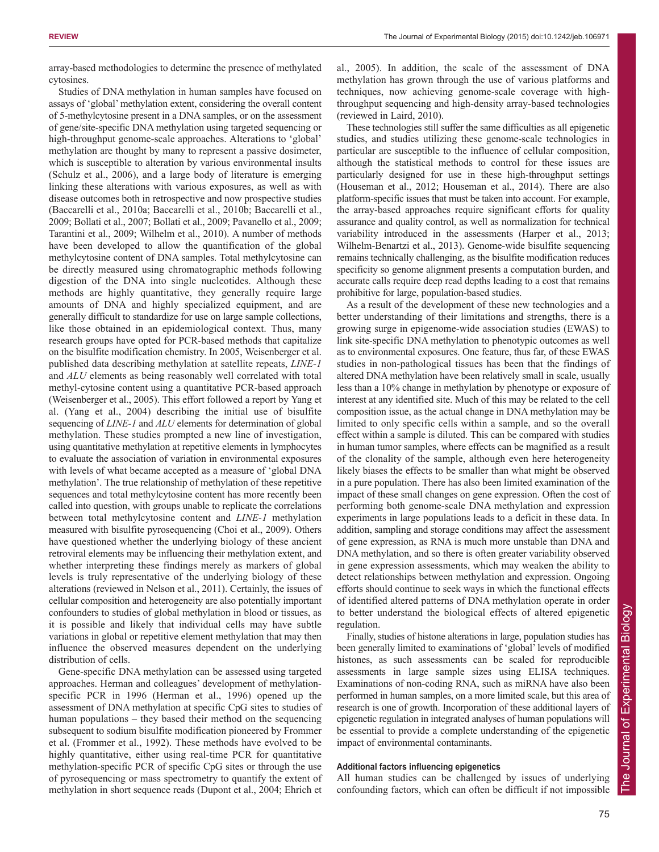array-based methodologies to determine the presence of methylated cytosines.

Studies of DNA methylation in human samples have focused on assays of 'global' methylation extent, considering the overall content of 5-methylcytosine present in a DNA samples, or on the assessment of gene/site-specific DNA methylation using targeted sequencing or high-throughput genome-scale approaches. Alterations to 'global' methylation are thought by many to represent a passive dosimeter, which is susceptible to alteration by various environmental insults (Schulz et al., 2006), and a large body of literature is emerging linking these alterations with various exposures, as well as with disease outcomes both in retrospective and now prospective studies (Baccarelli et al., 2010a; Baccarelli et al., 2010b; Baccarelli et al., 2009; Bollati et al., 2007; Bollati et al., 2009; Pavanello et al., 2009; Tarantini et al., 2009; Wilhelm et al., 2010). A number of methods have been developed to allow the quantification of the global methylcytosine content of DNA samples. Total methylcytosine can be directly measured using chromatographic methods following digestion of the DNA into single nucleotides. Although these methods are highly quantitative, they generally require large amounts of DNA and highly specialized equipment, and are generally difficult to standardize for use on large sample collections, like those obtained in an epidemiological context. Thus, many research groups have opted for PCR-based methods that capitalize on the bisulfite modification chemistry. In 2005, Weisenberger et al. published data describing methylation at satellite repeats, *LINE-1* and *ALU* elements as being reasonably well correlated with total methyl-cytosine content using a quantitative PCR-based approach (Weisenberger et al., 2005). This effort followed a report by Yang et al. (Yang et al., 2004) describing the initial use of bisulfite sequencing of *LINE-1* and *ALU* elements for determination of global methylation. These studies prompted a new line of investigation, using quantitative methylation at repetitive elements in lymphocytes to evaluate the association of variation in environmental exposures with levels of what became accepted as a measure of 'global DNA methylation'. The true relationship of methylation of these repetitive sequences and total methylcytosine content has more recently been called into question, with groups unable to replicate the correlations between total methylcytosine content and *LINE-1* methylation measured with bisulfite pyrosequencing (Choi et al., 2009). Others have questioned whether the underlying biology of these ancient retroviral elements may be influencing their methylation extent, and whether interpreting these findings merely as markers of global levels is truly representative of the underlying biology of these alterations (reviewed in Nelson et al., 2011). Certainly, the issues of cellular composition and heterogeneity are also potentially important confounders to studies of global methylation in blood or tissues, as it is possible and likely that individual cells may have subtle variations in global or repetitive element methylation that may then influence the observed measures dependent on the underlying distribution of cells.

Gene-specific DNA methylation can be assessed using targeted approaches. Herman and colleagues' development of methylationspecific PCR in 1996 (Herman et al., 1996) opened up the assessment of DNA methylation at specific CpG sites to studies of human populations – they based their method on the sequencing subsequent to sodium bisulfite modification pioneered by Frommer et al. (Frommer et al., 1992). These methods have evolved to be highly quantitative, either using real-time PCR for quantitative methylation-specific PCR of specific CpG sites or through the use of pyrosequencing or mass spectrometry to quantify the extent of methylation in short sequence reads (Dupont et al., 2004; Ehrich et al., 2005). In addition, the scale of the assessment of DNA methylation has grown through the use of various platforms and techniques, now achieving genome-scale coverage with highthroughput sequencing and high-density array-based technologies (reviewed in Laird, 2010).

These technologies still suffer the same difficulties as all epigenetic studies, and studies utilizing these genome-scale technologies in particular are susceptible to the influence of cellular composition, although the statistical methods to control for these issues are particularly designed for use in these high-throughput settings (Houseman et al., 2012; Houseman et al., 2014). There are also platform-specific issues that must be taken into account. For example, the array-based approaches require significant efforts for quality assurance and quality control, as well as normalization for technical variability introduced in the assessments (Harper et al., 2013; Wilhelm-Benartzi et al., 2013). Genome-wide bisulfite sequencing remains technically challenging, as the bisulfite modification reduces specificity so genome alignment presents a computation burden, and accurate calls require deep read depths leading to a cost that remains prohibitive for large, population-based studies.

As a result of the development of these new technologies and a better understanding of their limitations and strengths, there is a growing surge in epigenome-wide association studies (EWAS) to link site-specific DNA methylation to phenotypic outcomes as well as to environmental exposures. One feature, thus far, of these EWAS studies in non-pathological tissues has been that the findings of altered DNA methylation have been relatively small in scale, usually less than a 10% change in methylation by phenotype or exposure of interest at any identified site. Much of this may be related to the cell composition issue, as the actual change in DNA methylation may be limited to only specific cells within a sample, and so the overall effect within a sample is diluted. This can be compared with studies in human tumor samples, where effects can be magnified as a result of the clonality of the sample, although even here heterogeneity likely biases the effects to be smaller than what might be observed in a pure population. There has also been limited examination of the impact of these small changes on gene expression. Often the cost of performing both genome-scale DNA methylation and expression experiments in large populations leads to a deficit in these data. In addition, sampling and storage conditions may affect the assessment of gene expression, as RNA is much more unstable than DNA and DNA methylation, and so there is often greater variability observed in gene expression assessments, which may weaken the ability to detect relationships between methylation and expression. Ongoing efforts should continue to seek ways in which the functional effects of identified altered patterns of DNA methylation operate in order to better understand the biological effects of altered epigenetic regulation.

Finally, studies of histone alterations in large, population studies has been generally limited to examinations of 'global' levels of modified histones, as such assessments can be scaled for reproducible assessments in large sample sizes using ELISA techniques. Examinations of non-coding RNA, such as miRNA have also been performed in human samples, on a more limited scale, but this area of research is one of growth. Incorporation of these additional layers of epigenetic regulation in integrated analyses of human populations will be essential to provide a complete understanding of the epigenetic impact of environmental contaminants.

#### **Additional factors influencing epigenetics**

All human studies can be challenged by issues of underlying confounding factors, which can often be difficult if not impossible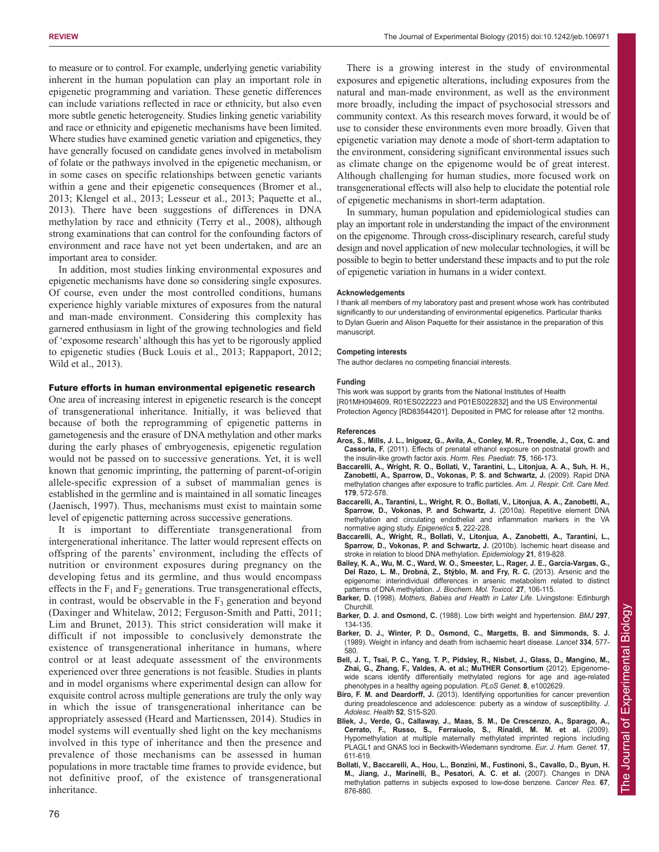to measure or to control. For example, underlying genetic variability inherent in the human population can play an important role in epigenetic programming and variation. These genetic differences can include variations reflected in race or ethnicity, but also even more subtle genetic heterogeneity. Studies linking genetic variability and race or ethnicity and epigenetic mechanisms have been limited. Where studies have examined genetic variation and epigenetics, they have generally focused on candidate genes involved in metabolism of folate or the pathways involved in the epigenetic mechanism, or in some cases on specific relationships between genetic variants within a gene and their epigenetic consequences (Bromer et al., 2013; Klengel et al., 2013; Lesseur et al., 2013; Paquette et al., 2013). There have been suggestions of differences in DNA methylation by race and ethnicity (Terry et al., 2008), although strong examinations that can control for the confounding factors of environment and race have not yet been undertaken, and are an important area to consider.

In addition, most studies linking environmental exposures and epigenetic mechanisms have done so considering single exposures. Of course, even under the most controlled conditions, humans experience highly variable mixtures of exposures from the natural and man-made environment. Considering this complexity has garnered enthusiasm in light of the growing technologies and field of 'exposome research' although this has yet to be rigorously applied to epigenetic studies (Buck Louis et al., 2013; Rappaport, 2012; Wild et al., 2013).

#### Future efforts in human environmental epigenetic research

One area of increasing interest in epigenetic research is the concept of transgenerational inheritance. Initially, it was believed that because of both the reprogramming of epigenetic patterns in gametogenesis and the erasure of DNA methylation and other marks during the early phases of embryogenesis, epigenetic regulation would not be passed on to successive generations. Yet, it is well known that genomic imprinting, the patterning of parent-of-origin allele-specific expression of a subset of mammalian genes is established in the germline and is maintained in all somatic lineages (Jaenisch, 1997). Thus, mechanisms must exist to maintain some level of epigenetic patterning across successive generations.

It is important to differentiate transgenerational from intergenerational inheritance. The latter would represent effects on offspring of the parents' environment, including the effects of nutrition or environment exposures during pregnancy on the developing fetus and its germline, and thus would encompass effects in the  $F_1$  and  $F_2$  generations. True transgenerational effects, in contrast, would be observable in the  $F_3$  generation and beyond (Daxinger and Whitelaw, 2012; Ferguson-Smith and Patti, 2011; Lim and Brunet, 2013). This strict consideration will make it difficult if not impossible to conclusively demonstrate the existence of transgenerational inheritance in humans, where control or at least adequate assessment of the environments experienced over three generations is not feasible. Studies in plants and in model organisms where experimental design can allow for exquisite control across multiple generations are truly the only way in which the issue of transgenerational inheritance can be appropriately assessed (Heard and Martienssen, 2014). Studies in model systems will eventually shed light on the key mechanisms involved in this type of inheritance and then the presence and prevalence of those mechanisms can be assessed in human populations in more tractable time frames to provide evidence, but not definitive proof, of the existence of transgenerational inheritance.

There is a growing interest in the study of environmental exposures and epigenetic alterations, including exposures from the natural and man-made environment, as well as the environment more broadly, including the impact of psychosocial stressors and community context. As this research moves forward, it would be of use to consider these environments even more broadly. Given that epigenetic variation may denote a mode of short-term adaptation to the environment, considering significant environmental issues such as climate change on the epigenome would be of great interest. Although challenging for human studies, more focused work on transgenerational effects will also help to elucidate the potential role of epigenetic mechanisms in short-term adaptation.

In summary, human population and epidemiological studies can play an important role in understanding the impact of the environment on the epigenome. Through cross-disciplinary research, careful study design and novel application of new molecular technologies, it will be possible to begin to better understand these impacts and to put the role of epigenetic variation in humans in a wider context.

#### **Acknowledgements**

I thank all members of my laboratory past and present whose work has contributed significantly to our understanding of environmental epigenetics. Particular thanks to Dylan Guerin and Alison Paquette for their assistance in the preparation of this manuscript.

#### **Competing interests**

The author declares no competing financial interests.

#### **Funding**

This work was support by grants from the National Institutes of Health [R01MH094609, R01ES022223 and P01ES022832] and the US Environmental Protection Agency [RD83544201]. Deposited in PMC for release after 12 months.

#### **References**

- **Aros, S., Mills, J. L., Iniguez, G., Avila, A., Conley, M. R., Troendle, J., Cox, C. and Cassorla, F.** (2011). Effects of prenatal ethanol exposure on postnatal growth and the insulin-like growth factor axis. *Horm. Res. Paediatr.* **75**, 166-173.
- **Baccarelli, A., Wright, R. O., Bollati, V., Tarantini, L., Litonjua, A. A., Suh, H. H., Zanobetti, A., Sparrow, D., Vokonas, P. S. and Schwartz, J.** (2009). Rapid DNA methylation changes after exposure to traffic particles. *Am. J. Respir. Crit. Care Med.* **179**, 572-578.
- **Baccarelli, A., Tarantini, L., Wright, R. O., Bollati, V., Litonjua, A. A., Zanobetti, A., Sparrow, D., Vokonas, P. and Schwartz, J.** (2010a). Repetitive element DNA methylation and circulating endothelial and inflammation markers in the VA normative aging study. *Epigenetics* **5**, 222-228.
- **Baccarelli, A., Wright, R., Bollati, V., Litonjua, A., Zanobetti, A., Tarantini, L., Sparrow, D., Vokonas, P. and Schwartz, J.** (2010b). Ischemic heart disease and stroke in relation to blood DNA methylation. *Epidemiology* **21**, 819-828.
- **Bailey, K. A., Wu, M. C., Ward, W. O., Smeester, L., Rager, J. E., García-Vargas, G., Del Razo, L. M., Drobná, Z., Stýblo, M. and Fry, R. C.** (2013). Arsenic and the epigenome: interindividual differences in arsenic metabolism related to distinct patterns of DNA methylation. *J. Biochem. Mol. Toxicol.* **27**, 106-115.
- **Barker, D.** (1998). *Mothers, Babies and Health in Later Life*. Livingstone: Edinburgh **Churchill**
- **Barker, D. J. and Osmond, C.** (1988). Low birth weight and hypertension. *BMJ* **297**, 134-135.
- **Barker, D. J., Winter, P. D., Osmond, C., Margetts, B. and Simmonds, S. J.** (1989). Weight in infancy and death from ischaemic heart disease. *Lancet* **334**, 577- 580.
- **Bell, J. T., Tsai, P. C., Yang, T. P., Pidsley, R., Nisbet, J., Glass, D., Mangino, M., Zhai, G., Zhang, F., Valdes, A. et al.; MuTHER Consortium** (2012). Epigenomewide scans identify differentially methylated regions for age and age-related phenotypes in a healthy ageing population. *PLoS Genet.* **8**, e1002629.
- **Biro, F. M. and Deardorff, J.** (2013). Identifying opportunities for cancer prevention during preadolescence and adolescence: puberty as a window of susceptibility. *J. Adolesc. Health* **52**, S15-S20.
- **Bliek, J., Verde, G., Callaway, J., Maas, S. M., De Crescenzo, A., Sparago, A., Cerrato, F., Russo, S., Ferraiuolo, S., Rinaldi, M. M. et al.** (2009). Hypomethylation at multiple maternally methylated imprinted regions including PLAGL1 and GNAS loci in Beckwith-Wiedemann syndrome. *Eur. J. Hum. Genet.* **17**, 611-619.
- **Bollati, V., Baccarelli, A., Hou, L., Bonzini, M., Fustinoni, S., Cavallo, D., Byun, H. M., Jiang, J., Marinelli, B., Pesatori, A. C. et al.** (2007). Changes in DNA methylation patterns in subjects exposed to low-dose benzene. *Cancer Res.* **67**, 876-880.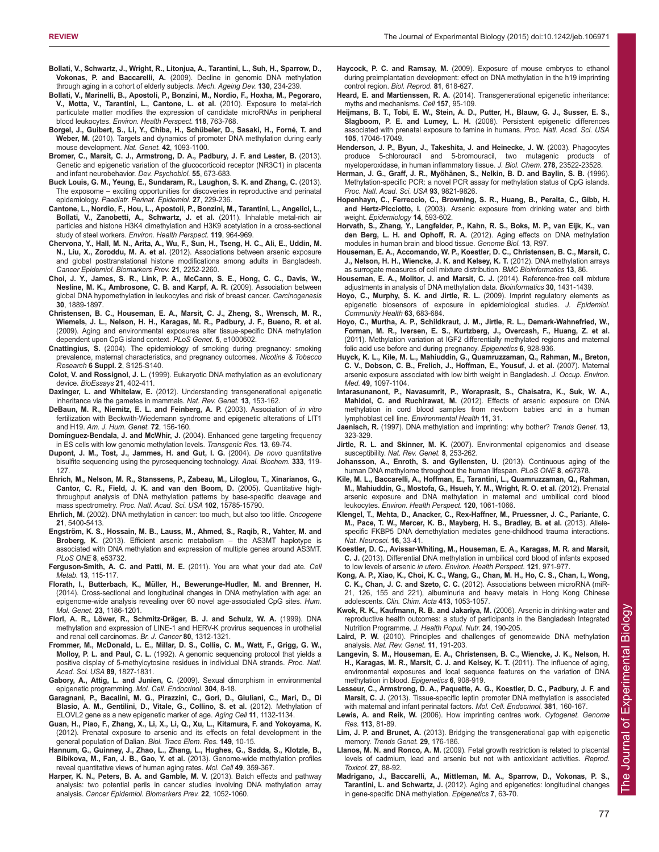- **Bollati, V., Schwartz, J., Wright, R., Litonjua, A., Tarantini, L., Suh, H., Sparrow, D., Vokonas, P. and Baccarelli, A.** (2009). Decline in genomic DNA methylation through aging in a cohort of elderly subjects. *Mech. Ageing Dev.* **130**, 234-239.
- **Bollati, V., Marinelli, B., Apostoli, P., Bonzini, M., Nordio, F., Hoxha, M., Pegoraro, V., Motta, V., Tarantini, L., Cantone, L. et al.** (2010). Exposure to metal-rich particulate matter modifies the expression of candidate microRNAs in peripheral blood leukocytes. *Environ. Health Perspect.* **118**, 763-768.
- **Borgel, J., Guibert, S., Li, Y., Chiba, H., Schübeler, D., Sasaki, H., Forné, T. and Weber, M.** (2010). Targets and dynamics of promoter DNA methylation during early mouse development. *Nat. Genet.* **42**, 1093-1100.
- **Bromer, C., Marsit, C. J., Armstrong, D. A., Padbury, J. F. and Lester, B.** (2013). Genetic and epigenetic variation of the glucocorticoid receptor (NR3C1) in placenta and infant neurobehavior. *Dev. Psychobiol.* **55**, 673-683.
- **Buck Louis, G. M., Yeung, E., Sundaram, R., Laughon, S. K. and Zhang, C.** (2013). The exposome – exciting opportunities for discoveries in reproductive and perinatal epidemiology. *Paediatr. Perinat. Epidemiol.* **27**, 229-236.
- **Cantone, L., Nordio, F., Hou, L., Apostoli, P., Bonzini, M., Tarantini, L., Angelici, L., Bollati, V., Zanobetti, A., Schwartz, J. et al.** (2011). Inhalable metal-rich air particles and histone H3K4 dimethylation and H3K9 acetylation in a cross-sectional study of steel workers. *Environ. Health Perspect.* **119**, 964-969.
- **Chervona, Y., Hall, M. N., Arita, A., Wu, F., Sun, H., Tseng, H. C., Ali, E., Uddin, M. N., Liu, X., Zoroddu, M. A. et al.** (2012). Associations between arsenic exposure and global posttranslational histone modifications among adults in Bangladesh. *Cancer Epidemiol. Biomarkers Prev.* **21**, 2252-2260.
- **Choi, J. Y., James, S. R., Link, P. A., McCann, S. E., Hong, C. C., Davis, W., Nesline, M. K., Ambrosone, C. B. and Karpf, A. R.** (2009). Association between global DNA hypomethylation in leukocytes and risk of breast cancer. *Carcinogenesis* **30**, 1889-1897.
- **Christensen, B. C., Houseman, E. A., Marsit, C. J., Zheng, S., Wrensch, M. R., Wiemels, J. L., Nelson, H. H., Karagas, M. R., Padbury, J. F., Bueno, R. et al.** (2009). Aging and environmental exposures alter tissue-specific DNA methylation dependent upon CpG island context. *PLoS Genet.* **5**, e1000602.
- **Cnattingius, S.** (2004). The epidemiology of smoking during pregnancy: smoking prevalence, maternal characteristics, and pregnancy outcomes. *Nicotine & Tobacco Research* **6 Suppl. 2**, S125-S140.
- **Colot, V. and Rossignol, J. L.** (1999). Eukaryotic DNA methylation as an evolutionary device. *BioEssays* **21**, 402-411.
- **Daxinger, L. and Whitelaw, E.** (2012). Understanding transgenerational epigenetic inheritance via the gametes in mammals. *Nat. Rev. Genet.* **13**, 153-162.
- **DeBaun, M. R., Niemitz, E. L. and Feinberg, A. P.** (2003). Association of *in vitro* fertilization with Beckwith-Wiedemann syndrome and epigenetic alterations of LIT1 and H19. *Am. J. Hum. Genet.* **72**, 156-160.
- **Domínguez-Bendala, J. and McWhir, J.** (2004). Enhanced gene targeting frequency in ES cells with low genomic methylation levels. *Transgenic Res.* **13**, 69-74.
- **Dupont, J. M., Tost, J., Jammes, H. and Gut, I. G.** (2004). *De novo* quantitative bisulfite sequencing using the pyrosequencing technology. *Anal. Biochem.* **333**, 119- 127.
- **Ehrich, M., Nelson, M. R., Stanssens, P., Zabeau, M., Liloglou, T., Xinarianos, G., Cantor, C. R., Field, J. K. and van den Boom, D.** (2005). Quantitative highthroughput analysis of DNA methylation patterns by base-specific cleavage and mass spectrometry. *Proc. Natl. Acad. Sci. USA* **102**, 15785-15790.
- **Ehrlich, M.** (2002). DNA methylation in cancer: too much, but also too little. *Oncogene* **21**, 5400-5413.
- **Engström, K. S., Hossain, M. B., Lauss, M., Ahmed, S., Raqib, R., Vahter, M. and Broberg, K.** (2013). Efficient arsenic metabolism – the AS3MT haplotype is associated with DNA methylation and expression of multiple genes around AS3MT. *PLoS ONE* **8**, e53732.
- **Ferguson-Smith, A. C. and Patti, M. E.** (2011). You are what your dad ate. *Cell Metab.* **13**, 115-117.
- **Florath, I., Butterbach, K., Müller, H., Bewerunge-Hudler, M. and Brenner, H.** (2014). Cross-sectional and longitudinal changes in DNA methylation with age: an epigenome-wide analysis revealing over 60 novel age-associated CpG sites. *Hum. Mol. Genet.* **23**, 1186-1201.
- **Florl, A. R., Löwer, R., Schmitz-Dräger, B. J. and Schulz, W. A.** (1999). DNA methylation and expression of LINE-1 and HERV-K provirus sequences in urothelial and renal cell carcinomas. *Br. J. Cancer* **80**, 1312-1321.
- **Frommer, M., McDonald, L. E., Millar, D. S., Collis, C. M., Watt, F., Grigg, G. W., Molloy, P. L. and Paul, C. L.** (1992). A genomic sequencing protocol that yields a positive display of 5-methylcytosine residues in individual DNA strands. *Proc. Natl. Acad. Sci. USA* **89**, 1827-1831.
- **Gabory, A., Attig, L. and Junien, C.** (2009). Sexual dimorphism in environmental epigenetic programming. *Mol. Cell. Endocrinol.* **304**, 8-18.
- **Garagnani, P., Bacalini, M. G., Pirazzini, C., Gori, D., Giuliani, C., Mari, D., Di Blasio, A. M., Gentilini, D., Vitale, G., Collino, S. et al.** (2012). Methylation of ELOVL2 gene as a new epigenetic marker of age. *Aging Cell* **11**, 1132-1134.
- **Guan, H., Piao, F., Zhang, X., Li, X., Li, Q., Xu, L., Kitamura, F. and Yokoyama, K.** (2012). Prenatal exposure to arsenic and its effects on fetal development in the general population of Dalian. *Biol. Trace Elem. Res.* **149**, 10-15.
- **Hannum, G., Guinney, J., Zhao, L., Zhang, L., Hughes, G., Sadda, S., Klotzle, B., Bibikova, M., Fan, J. B., Gao, Y. et al.** (2013). Genome-wide methylation profiles reveal quantitative views of human aging rates. *Mol. Cell* **49**, 359-367.
- **Harper, K. N., Peters, B. A. and Gamble, M. V.** (2013). Batch effects and pathway analysis: two potential perils in cancer studies involving DNA methylation array analysis. *Cancer Epidemiol. Biomarkers Prev.* **22**, 1052-1060.
- **Haycock, P. C. and Ramsay, M.** (2009). Exposure of mouse embryos to ethanol during preimplantation development: effect on DNA methylation in the h19 imprinting control region. *Biol. Reprod.* **81**, 618-627.
- **Heard, E. and Martienssen, R. A.** (2014). Transgenerational epigenetic inheritance: myths and mechanisms. *Cell* **157**, 95-109.
- **Heijmans, B. T., Tobi, E. W., Stein, A. D., Putter, H., Blauw, G. J., Susser, E. S., Slagboom, P. E. and Lumey, L. H.** (2008). Persistent epigenetic differences associated with prenatal exposure to famine in humans. *Proc. Natl. Acad. Sci. USA* **105**, 17046-17049.
- **Henderson, J. P., Byun, J., Takeshita, J. and Heinecke, J. W.** (2003). Phagocytes produce 5-chlorouracil and 5-bromouracil, two mutagenic products of myeloperoxidase, in human inflammatory tissue. *J. Biol. Chem.* **278**, 23522-23528.
- **Herman, J. G., Graff, J. R., Myöhänen, S., Nelkin, B. D. and Baylin, S. B.** (1996). Methylation-specific PCR: a novel PCR assay for methylation status of CpG islands. *Proc. Natl. Acad. Sci. USA* **93**, 9821-9826.
- **Hopenhayn, C., Ferreccio, C., Browning, S. R., Huang, B., Peralta, C., Gibb, H. and Hertz-Picciotto, I.** (2003). Arsenic exposure from drinking water and birth weight. *Epidemiology* **14**, 593-602.
- **Horvath, S., Zhang, Y., Langfelder, P., Kahn, R. S., Boks, M. P., van Eijk, K., van den Berg, L. H. and Ophoff, R. A.** (2012). Aging effects on DNA methylation modules in human brain and blood tissue. *Genome Biol.* **13**, R97.
- **Houseman, E. A., Accomando, W. P., Koestler, D. C., Christensen, B. C., Marsit, C. J., Nelson, H. H., Wiencke, J. K. and Kelsey, K. T.** (2012). DNA methylation arrays as surrogate measures of cell mixture distribution. *BMC Bioinformatics* **13**, 86.
- **Houseman, E. A., Molitor, J. and Marsit, C. J.** (2014). Reference-free cell mixture adjustments in analysis of DNA methylation data. *Bioinformatics* **30**, 1431-1439.
- **Hoyo, C., Murphy, S. K. and Jirtle, R. L.** (2009). Imprint regulatory elements as epigenetic biosensors of exposure in epidemiological studies. *J. Epidemiol. Community Health* **63**, 683-684.
- **Hoyo, C., Murtha, A. P., Schildkraut, J. M., Jirtle, R. L., Demark-Wahnefried, W., Forman, M. R., Iversen, E. S., Kurtzberg, J., Overcash, F., Huang, Z. et al.** (2011). Methylation variation at IGF2 differentially methylated regions and maternal folic acid use before and during pregnancy. *Epigenetics* **6**, 928-936.
- **Huyck, K. L., Kile, M. L., Mahiuddin, G., Quamruzzaman, Q., Rahman, M., Breton, C. V., Dobson, C. B., Frelich, J., Hoffman, E., Yousuf, J. et al.** (2007). Maternal arsenic exposure associated with low birth weight in Bangladesh. *J. Occup. Environ. Med.* **49**, 1097-1104.
- **Intarasunanont, P., Navasumrit, P., Woraprasit, S., Chaisatra, K., Suk, W. A., Mahidol, C. and Ruchirawat, M.** (2012). Effects of arsenic exposure on DNA methylation in cord blood samples from newborn babies and in a human lymphoblast cell line. *Environmental Health* **11**, 31.
- **Jaenisch, R.** (1997). DNA methylation and imprinting: why bother? *Trends Genet.* **13**, 323-329.
- **Jirtle, R. L. and Skinner, M. K.** (2007). Environmental epigenomics and disease susceptibility. *Nat. Rev. Genet.* **8**, 253-262.
- **Johansson, A., Enroth, S. and Gyllensten, U.** (2013). Continuous aging of the human DNA methylome throughout the human lifespan. *PLoS ONE* **8**, e67378.
- **Kile, M. L., Baccarelli, A., Hoffman, E., Tarantini, L., Quamruzzaman, Q., Rahman, M., Mahiuddin, G., Mostofa, G., Hsueh, Y. M., Wright, R. O. et al.** (2012). Prenatal arsenic exposure and DNA methylation in maternal and umbilical cord blood leukocytes. *Environ. Health Perspect.* **120**, 1061-1066.
- **Klengel, T., Mehta, D., Anacker, C., Rex-Haffner, M., Pruessner, J. C., Pariante, C. M., Pace, T. W., Mercer, K. B., Mayberg, H. S., Bradley, B. et al.** (2013). Allelespecific FKBP5 DNA demethylation mediates gene-childhood trauma interactions. *Nat. Neurosci.* **16**, 33-41.
- **Koestler, D. C., Avissar-Whiting, M., Houseman, E. A., Karagas, M. R. and Marsit, C. J.** (2013). Differential DNA methylation in umbilical cord blood of infants exposed to low levels of arsenic *in utero*. *Environ. Health Perspect.* **121**, 971-977.
- **Kong, A. P., Xiao, K., Choi, K. C., Wang, G., Chan, M. H., Ho, C. S., Chan, I., Wong, C. K., Chan, J. C. and Szeto, C. C.** (2012). Associations between microRNA (miR-21, 126, 155 and 221), albuminuria and heavy metals in Hong Kong Chinese adolescents. *Clin. Chim. Acta* **413**, 1053-1057.
- **Kwok, R. K., Kaufmann, R. B. and Jakariya, M.** (2006). Arsenic in drinking-water and reproductive health outcomes: a study of participants in the Bangladesh Integrated Nutrition Programme. *J. Health Popul. Nutr.* **24**, 190-205.
- **Laird, P. W.** (2010). Principles and challenges of genomewide DNA methylation analysis. *Nat. Rev. Genet.* **11**, 191-203.
- **Langevin, S. M., Houseman, E. A., Christensen, B. C., Wiencke, J. K., Nelson, H. H., Karagas, M. R., Marsit, C. J. and Kelsey, K. T.** (2011). The influence of aging, environmental exposures and local sequence features on the variation of DNA methylation in blood. *Epigenetics* **6**, 908-919.
- **Lesseur, C., Armstrong, D. A., Paquette, A. G., Koestler, D. C., Padbury, J. F. and Marsit, C. J.** (2013). Tissue-specific leptin promoter DNA methylation is associated with maternal and infant perinatal factors. *Mol. Cell. Endocrinol.* **381**, 160-167.
- **Lewis, A. and Reik, W.** (2006). How imprinting centres work. *Cytogenet. Genome Res.* **113**, 81-89.
- **Lim, J. P. and Brunet, A.** (2013). Bridging the transgenerational gap with epigenetic memory. *Trends Genet.* **29**, 176-186.
- **Llanos, M. N. and Ronco, A. M.** (2009). Fetal growth restriction is related to placental levels of cadmium, lead and arsenic but not with antioxidant activities. *Reprod. Toxicol.* **27**, 88-92.
- **Madrigano, J., Baccarelli, A., Mittleman, M. A., Sparrow, D., Vokonas, P. S., Tarantini, L. and Schwartz, J.** (2012). Aging and epigenetics: longitudinal changes in gene-specific DNA methylation. *Epigenetics* **7**, 63-70.

ඉ Biol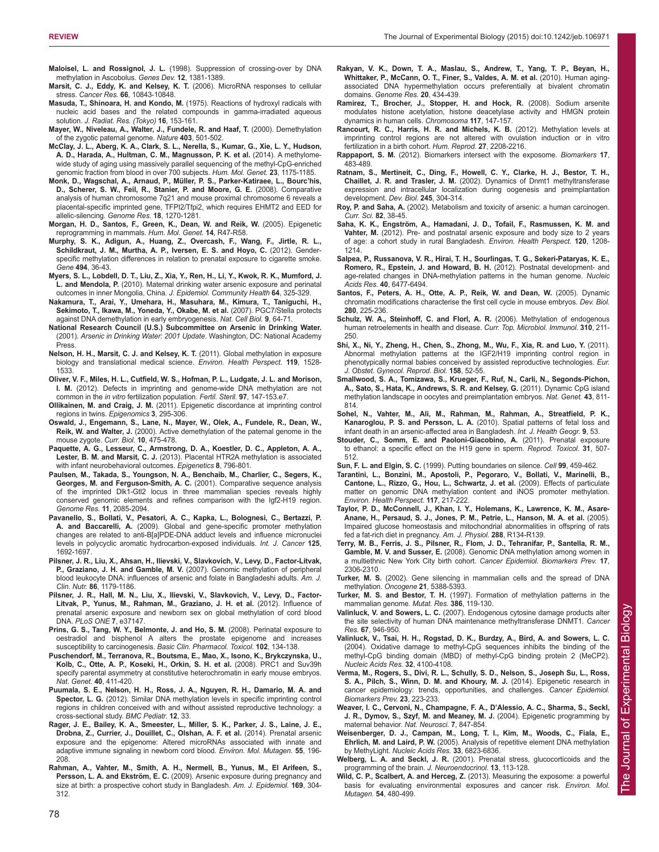**Maloisel, L. and Rossignol, J. L.** (1998). Suppression of crossing-over by DNA methylation in Ascobolus. *Genes Dev.* **12**, 1381-1389.

**Marsit, C. J., Eddy, K. and Kelsey, K. T.** (2006). MicroRNA responses to cellular stress. *Cancer Res.* **66**, 10843-10848.

- **Masuda, T., Shinoara, H. and Kondo, M.** (1975). Reactions of hydroxyl radicals with nucleic acid bases and the related compounds in gamma-irradiated aqueous solution. *J. Radiat. Res. (Tokyo)* **16**, 153-161.
- **Mayer, W., Niveleau, A., Walter, J., Fundele, R. and Haaf, T.** (2000). Demethylation of the zygotic paternal genome. *Nature* **403**, 501-502.
- **McClay, J. L., Aberg, K. A., Clark, S. L., Nerella, S., Kumar, G., Xie, L. Y., Hudson, A. D., Harada, A., Hultman, C. M., Magnusson, P. K. et al.** (2014). A methylomewide study of aging using massively parallel sequencing of the methyl-CpG-enriched genomic fraction from blood in over 700 subjects. *Hum. Mol. Genet.* **23**, 1175-1185.
- **Monk, D., Wagschal, A., Arnaud, P., Müller, P. S., Parker-Katiraee, L., Bourc'his, D., Scherer, S. W., Feil, R., Stanier, P. and Moore, G. E.** (2008). Comparative analysis of human chromosome 7q21 and mouse proximal chromosome 6 reveals a placental-specific imprinted gene, TFPI2/Tfpi2, which requires EHMT2 and EED for allelic-silencing. *Genome Res.* **18**, 1270-1281.
- **Morgan, H. D., Santos, F., Green, K., Dean, W. and Reik, W.** (2005). Epigenetic reprogramming in mammals. *Hum. Mol. Genet.* **14**, R47-R58.
- **Murphy, S. K., Adigun, A., Huang, Z., Overcash, F., Wang, F., Jirtle, R. L., Schildkraut, J. M., Murtha, A. P., Iversen, E. S. and Hoyo, C.** (2012). Genderspecific methylation differences in relation to prenatal exposure to cigarette smoke. *Gene* **494**, 36-43.
- **Myers, S. L., Lobdell, D. T., Liu, Z., Xia, Y., Ren, H., Li, Y., Kwok, R. K., Mumford, J. L. and Mendola, P.** (2010). Maternal drinking water arsenic exposure and perinatal outcomes in inner Mongolia, China. *J. Epidemiol. Community Health* **64**, 325-329.
- **Nakamura, T., Arai, Y., Umehara, H., Masuhara, M., Kimura, T., Taniguchi, H., Sekimoto, T., Ikawa, M., Yoneda, Y., Okabe, M. et al.** (2007). PGC7/Stella protects against DNA demethylation in early embryogenesis. *Nat. Cell Biol.* **9**, 64-71.
- **National Research Council (U.S.) Subcommittee on Arsenic in Drinking Water.** (2001). *Arsenic in Drinking Water: 2001 Update*. Washington, DC: National Academy Press.
- **Nelson, H. H., Marsit, C. J. and Kelsey, K. T.** (2011). Global methylation in exposure biology and translational medical science. *Environ. Health Perspect.* **119**, 1528- 1533.
- **Oliver, V. F., Miles, H. L., Cutfield, W. S., Hofman, P. L., Ludgate, J. L. and Morison, I. M.** (2012). Defects in imprinting and genome-wide DNA methylation are not common in the *in vitro* fertilization population. *Fertil. Steril.* **97**, 147-153.e7.
- **Ollikainen, M. and Craig, J. M.** (2011). Epigenetic discordance at imprinting control regions in twins. *Epigenomics* **3**, 295-306.
- **Oswald, J., Engemann, S., Lane, N., Mayer, W., Olek, A., Fundele, R., Dean, W., Reik, W. and Walter, J.** (2000). Active demethylation of the paternal genome in the mouse zygote. *Curr. Biol.* **10**, 475-478.
- **Paquette, A. G., Lesseur, C., Armstrong, D. A., Koestler, D. C., Appleton, A. A., Lester, B. M. and Marsit, C. J.** (2013). Placental HTR2A methylation is associated with infant neurobehavioral outcomes. *Epigenetics* **8**, 796-801.
- **Paulsen, M., Takada, S., Youngson, N. A., Benchaib, M., Charlier, C., Segers, K., Georges, M. and Ferguson-Smith, A. C.** (2001). Comparative sequence analysis of the imprinted Dlk1-Gtl2 locus in three mammalian species reveals highly conserved genomic elements and refines comparison with the Igf2-H19 region. *Genome Res.* **11**, 2085-2094.
- **Pavanello, S., Bollati, V., Pesatori, A. C., Kapka, L., Bolognesi, C., Bertazzi, P. A. and Baccarelli, A.** (2009). Global and gene-specific promoter methylation changes are related to anti-B[a]PDE-DNA adduct levels and influence micronuclei levels in polycyclic aromatic hydrocarbon-exposed individuals. *Int. J. Cancer* **125**, 1692-1697.
- **Pilsner, J. R., Liu, X., Ahsan, H., Ilievski, V., Slavkovich, V., Levy, D., Factor-Litvak, P., Graziano, J. H. and Gamble, M. V.** (2007). Genomic methylation of peripheral blood leukocyte DNA: influences of arsenic and folate in Bangladeshi adults. *Am. J. Clin. Nutr.* **86**, 1179-1186.
- **Pilsner, J. R., Hall, M. N., Liu, X., Ilievski, V., Slavkovich, V., Levy, D., Factor-Litvak, P., Yunus, M., Rahman, M., Graziano, J. H. et al.** (2012). Influence of prenatal arsenic exposure and newborn sex on global methylation of cord blood DNA. *PLoS ONE* **7**, e37147.
- **Prins, G. S., Tang, W. Y., Belmonte, J. and Ho, S. M.** (2008). Perinatal exposure to oestradiol and bisphenol A alters the prostate epigenome and increases susceptibility to carcinogenesis. *Basic Clin. Pharmacol. Toxicol.* **102**, 134-138.
- **Puschendorf, M., Terranova, R., Boutsma, E., Mao, X., Isono, K., Brykczynska, U., Kolb, C., Otte, A. P., Koseki, H., Orkin, S. H. et al.** (2008). PRC1 and Suv39h specify parental asymmetry at constitutive heterochromatin in early mouse embryos. *Nat. Genet.* **40**, 411-420.
- **Puumala, S. E., Nelson, H. H., Ross, J. A., Nguyen, R. H., Damario, M. A. and Spector, L. G.** (2012). Similar DNA methylation levels in specific imprinting control regions in children conceived with and without assisted reproductive technology: a cross-sectional study. *BMC Pediatr.* **12**, 33.
- **Rager, J. E., Bailey, K. A., Smeester, L., Miller, S. K., Parker, J. S., Laine, J. E., Drobna, Z., Currier, J., Douillet, C., Olshan, A. F. et al.** (2014). Prenatal arsenic exposure and the epigenome: Altered microRNAs associated with innate and adaptive immune signaling in newborn cord blood. *Environ. Mol. Mutagen.* **55**, 196- 208.
- **Rahman, A., Vahter, M., Smith, A. H., Nermell, B., Yunus, M., El Arifeen, S., Persson, L. A. and Ekström, E. C.** (2009). Arsenic exposure during pregnancy and size at birth: a prospective cohort study in Bangladesh. *Am. J. Epidemiol.* **169**, 304- 312.
- **Rakyan, V. K., Down, T. A., Maslau, S., Andrew, T., Yang, T. P., Beyan, H., Whittaker, P., McCann, O. T., Finer, S., Valdes, A. M. et al.** (2010). Human agingassociated DNA hypermethylation occurs preferentially at bivalent chromatin domains. *Genome Res.* **20**, 434-439.
- **Ramirez, T., Brocher, J., Stopper, H. and Hock, R.** (2008). Sodium arsenite modulates histone acetylation, histone deacetylase activity and HMGN protein dynamics in human cells. *Chromosoma* **117**, 147-157.
- **Rancourt, R. C., Harris, H. R. and Michels, K. B.** (2012). Methylation levels at imprinting control regions are not altered with ovulation induction or in vitro fertilization in a birth cohort. *Hum. Reprod.* **27**, 2208-2216.
- **Rappaport, S. M.** (2012). Biomarkers intersect with the exposome. *Biomarkers* **17**, 483-489.
- **Ratnam, S., Mertineit, C., Ding, F., Howell, C. Y., Clarke, H. J., Bestor, T. H., Chaillet, J. R. and Trasler, J. M.** (2002). Dynamics of Dnmt1 methyltransferase expression and intracellular localization during oogenesis and preimplantation development. *Dev. Biol.* **245**, 304-314.
- **Roy, P. and Saha, A.** (2002). Metabolism and toxicity of arsenic: a human carcinogen. *Curr. Sci.* **82**, 38-45.
- **Saha, K. K., Engström, A., Hamadani, J. D., Tofail, F., Rasmussen, K. M. and Vahter, M.** (2012). Pre- and postnatal arsenic exposure and body size to 2 years of age: a cohort study in rural Bangladesh. *Environ. Health Perspect.* **120**, 1208- 1214.
- **Salpea, P., Russanova, V. R., Hirai, T. H., Sourlingas, T. G., Sekeri-Pataryas, K. E., Romero, R., Epstein, J. and Howard, B. H.** (2012). Postnatal development- and age-related changes in DNA-methylation patterns in the human genome. *Nucleic Acids Res.* **40**, 6477-6494.
- **Santos, F., Peters, A. H., Otte, A. P., Reik, W. and Dean, W.** (2005). Dynamic chromatin modifications characterise the first cell cycle in mouse embryos. *Dev. Biol.* **280**, 225-236.
- **Schulz, W. A., Steinhoff, C. and Florl, A. R.** (2006). Methylation of endogenous human retroelements in health and disease. *Curr. Top. Microbiol. Immunol.* **310**, 211- 250.
- **Shi, X., Ni, Y., Zheng, H., Chen, S., Zhong, M., Wu, F., Xia, R. and Luo, Y.** (2011). Abnormal methylation patterns at the IGF2/H19 imprinting control region in phenotypically normal babies conceived by assisted reproductive technologies. *Eur. J. Obstet. Gynecol. Reprod. Biol.* **158**, 52-55.
- **Smallwood, S. A., Tomizawa, S., Krueger, F., Ruf, N., Carli, N., Segonds-Pichon, A., Sato, S., Hata, K., Andrews, S. R. and Kelsey, G.** (2011). Dynamic CpG island methylation landscape in oocytes and preimplantation embryos. *Nat. Genet.* **43**, 811- 814.
- **Sohel, N., Vahter, M., Ali, M., Rahman, M., Rahman, A., Streatfield, P. K., Kanaroglou, P. S. and Persson, L. A.** (2010). Spatial patterns of fetal loss and infant death in an arsenic-affected area in Bangladesh. *Int. J. Health Geogr.* **9**, 53.
- **Stouder, C., Somm, E. and Paoloni-Giacobino, A.** (2011). Prenatal exposure to ethanol: a specific effect on the H19 gene in sperm. *Reprod. Toxicol.* **31**, 507- 512.
- **Sun, F. L. and Elgin, S. C.** (1999). Putting boundaries on silence. *Cell* **99**, 459-462.
- **Tarantini, L., Bonzini, M., Apostoli, P., Pegoraro, V., Bollati, V., Marinelli, B., Cantone, L., Rizzo, G., Hou, L., Schwartz, J. et al.** (2009). Effects of particulate matter on genomic DNA methylation content and iNOS promoter methylation. *Environ. Health Perspect.* **117**, 217-222.
- **Taylor, P. D., McConnell, J., Khan, I. Y., Holemans, K., Lawrence, K. M., Asare-Anane, H., Persaud, S. J., Jones, P. M., Petrie, L., Hanson, M. A. et al.** (2005). Impaired glucose homeostasis and mitochondrial abnormalities in offspring of rats fed a fat-rich diet in pregnancy. *Am. J. Physiol.* **288**, R134-R139.
- **Terry, M. B., Ferris, J. S., Pilsner, R., Flom, J. D., Tehranifar, P., Santella, R. M., Gamble, M. V. and Susser, E.** (2008). Genomic DNA methylation among women in a multiethnic New York City birth cohort. *Cancer Epidemiol. Biomarkers Prev.* **17**, 2306-2310.
- **Turker, M. S.** (2002). Gene silencing in mammalian cells and the spread of DNA methylation. *Oncogene* **21**, 5388-5393.
- **Turker, M. S. and Bestor, T. H.** (1997). Formation of methylation patterns in the mammalian genome. *Mutat. Res.* **386**, 119-130.
- **Valinluck, V. and Sowers, L. C.** (2007). Endogenous cytosine damage products alter the site selectivity of human DNA maintenance methyltransferase DNMT1. *Cancer Res.* **67**, 946-950.
- **Valinluck, V., Tsai, H. H., Rogstad, D. K., Burdzy, A., Bird, A. and Sowers, L. C.** (2004). Oxidative damage to methyl-CpG sequences inhibits the binding of the methyl-CpG binding domain (MBD) of methyl-CpG binding protein 2 (MeCP2). *Nucleic Acids Res.* **32**, 4100-4108.
- **Verma, M., Rogers, S., Divi, R. L., Schully, S. D., Nelson, S., Joseph Su, L., Ross, S. A., Pilch, S., Winn, D. M. and Khoury, M. J.** (2014). Epigenetic research in cancer epidemiology: trends, opportunities, and challenges. *Cancer Epidemiol. Biomarkers Prev.* **23**, 223-233.
- **Weaver, I. C., Cervoni, N., Champagne, F. A., D'Alessio, A. C., Sharma, S., Seckl, J. R., Dymov, S., Szyf, M. and Meaney, M. J.** (2004). Epigenetic programming by maternal behavior. *Nat. Neurosci.* **7**, 847-854.
- **Weisenberger, D. J., Campan, M., Long, T. I., Kim, M., Woods, C., Fiala, E., Ehrlich, M. and Laird, P. W.** (2005). Analysis of repetitive element DNA methylation by MethyLight. *Nucleic Acids Res.* **33**, 6823-6836.
- **Welberg, L. A. and Seckl, J. R.** (2001). Prenatal stress, glucocorticoids and the programming of the brain. *J. Neuroendocrinol.* **13**, 113-128.
- **Wild, C. P., Scalbert, A. and Herceg, Z.** (2013). Measuring the exposome: a powerful basis for evaluating environmental exposures and cancer risk. *Environ. Mol. Mutagen.* **54**, 480-499.